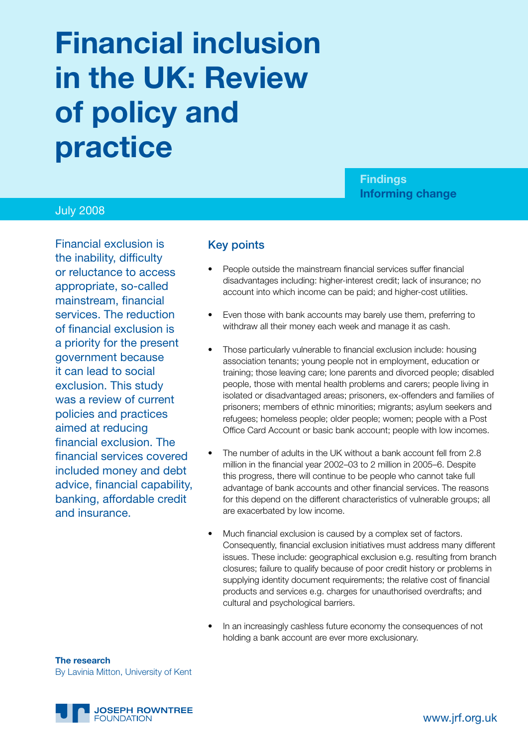# **Financial inclusion in the UK: Review of policy and practice**

**Findings Informing change**

#### July 2008

Financial exclusion is the inability, difficulty or reluctance to access appropriate, so-called mainstream, financial services. The reduction of financial exclusion is a priority for the present government because it can lead to social exclusion. This study was a review of current policies and practices aimed at reducing financial exclusion. The financial services covered included money and debt advice, financial capability, banking, affordable credit and insurance.

#### Key points

- People outside the mainstream financial services suffer financial disadvantages including: higher-interest credit; lack of insurance; no account into which income can be paid; and higher-cost utilities.
- Even those with bank accounts may barely use them, preferring to withdraw all their money each week and manage it as cash.
- Those particularly vulnerable to financial exclusion include: housing association tenants; young people not in employment, education or training; those leaving care; lone parents and divorced people; disabled people, those with mental health problems and carers; people living in isolated or disadvantaged areas; prisoners, ex-offenders and families of prisoners; members of ethnic minorities; migrants; asylum seekers and refugees; homeless people; older people; women; people with a Post Office Card Account or basic bank account; people with low incomes.
- The number of adults in the UK without a bank account fell from 2.8 million in the financial year 2002–03 to 2 million in 2005–6. Despite this progress, there will continue to be people who cannot take full advantage of bank accounts and other financial services. The reasons for this depend on the different characteristics of vulnerable groups; all are exacerbated by low income.
- Much financial exclusion is caused by a complex set of factors. Consequently, financial exclusion initiatives must address many different issues. These include: geographical exclusion e.g. resulting from branch closures; failure to qualify because of poor credit history or problems in supplying identity document requirements; the relative cost of financial products and services e.g. charges for unauthorised overdrafts; and cultural and psychological barriers.
- In an increasingly cashless future economy the consequences of not holding a bank account are ever more exclusionary.

**The research** By Lavinia Mitton, University of Kent

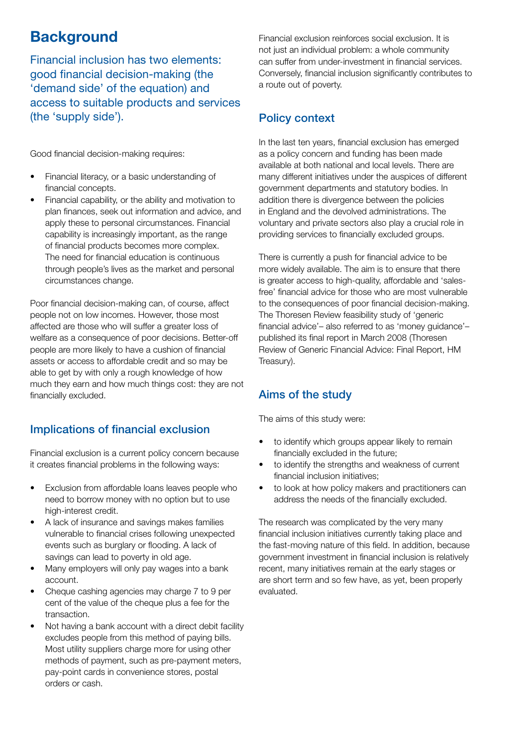# **Background**

Financial inclusion has two elements: good financial decision-making (the 'demand side' of the equation) and access to suitable products and services (the 'supply side').

Good financial decision-making requires:

- Financial literacy, or a basic understanding of financial concepts.
- Financial capability, or the ability and motivation to plan finances, seek out information and advice, and apply these to personal circumstances. Financial capability is increasingly important, as the range of financial products becomes more complex. The need for financial education is continuous through people's lives as the market and personal circumstances change.

Poor financial decision-making can, of course, affect people not on low incomes. However, those most affected are those who will suffer a greater loss of welfare as a consequence of poor decisions. Better-off people are more likely to have a cushion of financial assets or access to affordable credit and so may be able to get by with only a rough knowledge of how much they earn and how much things cost: they are not financially excluded.

# Implications of financial exclusion

Financial exclusion is a current policy concern because it creates financial problems in the following ways:

- Exclusion from affordable loans leaves people who need to borrow money with no option but to use high-interest credit.
- A lack of insurance and savings makes families vulnerable to financial crises following unexpected events such as burglary or flooding. A lack of savings can lead to poverty in old age.
- Many employers will only pay wages into a bank account.
- Cheque cashing agencies may charge 7 to 9 per cent of the value of the cheque plus a fee for the transaction.
- Not having a bank account with a direct debit facility excludes people from this method of paying bills. Most utility suppliers charge more for using other methods of payment, such as pre-payment meters, pay-point cards in convenience stores, postal orders or cash.

Financial exclusion reinforces social exclusion. It is not just an individual problem: a whole community can suffer from under-investment in financial services. Conversely, financial inclusion significantly contributes to a route out of poverty.

# Policy context

In the last ten years, financial exclusion has emerged as a policy concern and funding has been made available at both national and local levels. There are many different initiatives under the auspices of different government departments and statutory bodies. In addition there is divergence between the policies in England and the devolved administrations. The voluntary and private sectors also play a crucial role in providing services to financially excluded groups.

There is currently a push for financial advice to be more widely available. The aim is to ensure that there is greater access to high-quality, affordable and 'salesfree' financial advice for those who are most vulnerable to the consequences of poor financial decision-making. The Thoresen Review feasibility study of 'generic financial advice'– also referred to as 'money guidance'– published its final report in March 2008 (Thoresen Review of Generic Financial Advice: Final Report, HM Treasury).

# Aims of the study

The aims of this study were:

- to identify which groups appear likely to remain financially excluded in the future;
- to identify the strengths and weakness of current financial inclusion initiatives;
- to look at how policy makers and practitioners can address the needs of the financially excluded.

The research was complicated by the very many financial inclusion initiatives currently taking place and the fast-moving nature of this field. In addition, because government investment in financial inclusion is relatively recent, many initiatives remain at the early stages or are short term and so few have, as yet, been properly evaluated.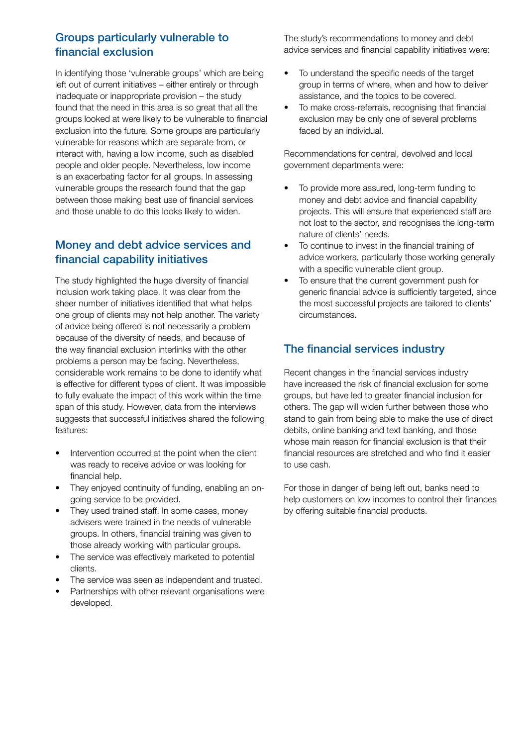#### Groups particularly vulnerable to financial exclusion

In identifying those 'vulnerable groups' which are being left out of current initiatives – either entirely or through inadequate or inappropriate provision – the study found that the need in this area is so great that all the groups looked at were likely to be vulnerable to financial exclusion into the future. Some groups are particularly vulnerable for reasons which are separate from, or interact with, having a low income, such as disabled people and older people. Nevertheless, low income is an exacerbating factor for all groups. In assessing vulnerable groups the research found that the gap between those making best use of financial services and those unable to do this looks likely to widen.

#### Money and debt advice services and financial capability initiatives

The study highlighted the huge diversity of financial inclusion work taking place. It was clear from the sheer number of initiatives identified that what helps one group of clients may not help another. The variety of advice being offered is not necessarily a problem because of the diversity of needs, and because of the way financial exclusion interlinks with the other problems a person may be facing. Nevertheless, considerable work remains to be done to identify what is effective for different types of client. It was impossible to fully evaluate the impact of this work within the time span of this study. However, data from the interviews suggests that successful initiatives shared the following features:

- Intervention occurred at the point when the client was ready to receive advice or was looking for financial help.
- They enjoyed continuity of funding, enabling an ongoing service to be provided.
- They used trained staff. In some cases, money advisers were trained in the needs of vulnerable groups. In others, financial training was given to those already working with particular groups.
- The service was effectively marketed to potential clients.
- The service was seen as independent and trusted.
- Partnerships with other relevant organisations were developed.

The study's recommendations to money and debt advice services and financial capability initiatives were:

- To understand the specific needs of the target group in terms of where, when and how to deliver assistance, and the topics to be covered.
- To make cross-referrals, recognising that financial exclusion may be only one of several problems faced by an individual.

Recommendations for central, devolved and local government departments were:

- To provide more assured, long-term funding to money and debt advice and financial capability projects. This will ensure that experienced staff are not lost to the sector, and recognises the long-term nature of clients' needs.
- To continue to invest in the financial training of advice workers, particularly those working generally with a specific vulnerable client group.
- To ensure that the current government push for generic financial advice is sufficiently targeted, since the most successful projects are tailored to clients' circumstances.

#### The financial services industry

Recent changes in the financial services industry have increased the risk of financial exclusion for some groups, but have led to greater financial inclusion for others. The gap will widen further between those who stand to gain from being able to make the use of direct debits, online banking and text banking, and those whose main reason for financial exclusion is that their financial resources are stretched and who find it easier to use cash.

For those in danger of being left out, banks need to help customers on low incomes to control their finances by offering suitable financial products.